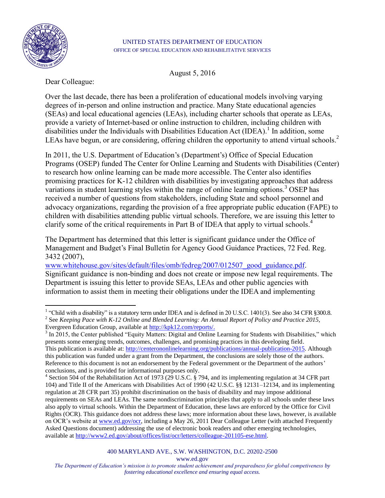

#### UNITED STATES DEPARTMENT OF EDUCATION OFFICE OF SPECIAL EDUCATION AND REHABILITATIVE SERVICES

August 5, 2016

Dear Colleague:

Over the last decade, there has been a proliferation of educational models involving varying degrees of in-person and online instruction and practice. Many State educational agencies (SEAs) and local educational agencies (LEAs), including charter schools that operate as LEAs, provide a variety of Internet-based or online instruction to children, including children with disabilities under the Individuals with Disabilities Education Act (IDEA).<sup>1</sup> In addition, some LEAs have begun, or are considering, offering children the opportunity to attend virtual schools.<sup>2</sup>

In 2011, the U.S. Department of Education's (Department's) Office of Special Education Programs (OSEP) funded The Center for Online Learning and Students with Disabilities (Center) to research how online learning can be made more accessible. The Center also identifies promising practices for K-12 children with disabilities by investigating approaches that address variations in student learning styles within the range of online learning options.<sup>3</sup> OSEP has received a number of questions from stakeholders, including State and school personnel and advocacy organizations, regarding the provision of a free appropriate public education (FAPE) to children with disabilities attending public virtual schools. Therefore, we are issuing this letter to clarify some of the critical requirements in Part B of IDEA that apply to virtual schools.<sup>4</sup>

The Department has determined that this letter is significant guidance under the Office of Management and Budget's Final Bulletin for Agency Good Guidance Practices, 72 Fed. Reg. 3432 (2007),

[www.whitehouse.gov/sites/default/files/omb/fedreg/2007/012507\\_good\\_guidance.pdf.](http://www.whitehouse.gov/sites/default/files/omb/fedreg/2007/012507_good_guidance.pdf) Significant guidance is non-binding and does not create or impose new legal requirements. The Department is issuing this letter to provide SEAs, LEAs and other public agencies with information to assist them in meeting their obligations under the IDEA and implementing

www.ed.gov

 $\overline{a}$ <sup>1</sup> "Child with a disability" is a statutory term under IDEA and is defined in 20 U.S.C. 1401(3). See also 34 CFR  $\S 300.8$ . 2 See *Keeping Pace with K-12 Online and Blended Learning: An Annual Report of Policy and Practice 2015,*  Evergreen Education Group, available at [http://kpk12.com/reports/.](http://kpk12.com/reports/)

 $3 \text{ In } 2015$ , the Center published "Equity Matters: Digital and Online Learning for Students with Disabilities," which presents some emerging trends, outcomes, challenges, and promising practices in this developing field. This publication is available at: [http://centerononlinelearning.org/publications/annual-publication-2015.](http://centerononlinelearning.org/publications/annual-publication-2015) Although this publication was funded under a grant from the Department, the conclusions are solely those of the authors. Reference to this document is not an endorsement by the Federal government or the Department of the authors' conclusions, and is provided for informational purposes only.

<sup>&</sup>lt;sup>4</sup> Section 504 of the Rehabilitation Act of 1973 (29 U.S.C. § 794, and its implementing regulation at 34 CFR part 104) and Title II of the Americans with Disabilities Act of 1990 (42 U.S.C. §§ 12131–12134, and its implementing regulation at 28 CFR part 35) prohibit discrimination on the basis of disability and may impose additional requirements on SEAs and LEAs. The same nondiscrimination principles that apply to all schools under these laws also apply to virtual schools. Within the Department of Education, these laws are enforced by the Office for Civil Rights (OCR). This guidance does not address these laws; more information about these laws, however, is available on OCR's website at [www.ed.gov/ocr,](http://www.ed.gov/ocr) including a May 26, 2011 Dear Colleague Letter (with attached Frequently Asked Questions document) addressing the use of electronic book readers and other emerging technologies, available at [http://www2.ed.gov/about/offices/list/ocr/letters/colleague-201105-ese.html.](http://www2.ed.gov/about/offices/list/ocr/letters/colleague-201105-ese.html) 

*The Department of Education's mission is to promote student achievement and preparedness for global competiveness by fostering educational excellence and ensuring equal access.*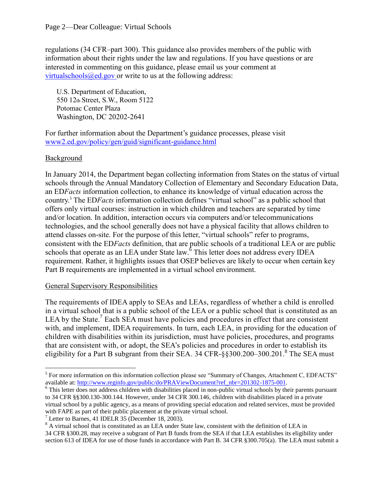regulations (34 CFR–part 300). This guidance also provides members of the public with information about their rights under the law and regulations. If you have questions or are interested in commenting on this guidance, please email us your comment at [virtualschools@ed.gov](mailto:virtualschools@ed.gov) or write to us at the following address:

U.S. Department of Education, 550 12th Street, S.W., Room 5122 Potomac Center Plaza Washington, DC 20202-2641

For further information about the Department's guidance processes, please visit [www2.ed.gov/policy/gen/guid/significant-guidance.html](http://www2.ed.gov/policy/gen/guid/significant-guidance.html)

### Background

 $\overline{a}$ 

In January 2014, the Department began collecting information from States on the status of virtual schools through the Annual Mandatory Collection of Elementary and Secondary Education Data, an ED*Facts* information collection, to enhance its knowledge of virtual education across the country.<sup>5</sup> The ED*Facts* information collection defines "virtual school" as a public school that offers only virtual courses: instruction in which children and teachers are separated by time and/or location. In addition, interaction occurs via computers and/or telecommunications technologies, and the school generally does not have a physical facility that allows children to attend classes on-site. For the purpose of this letter, "virtual schools" refer to programs, consistent with the ED*Facts* definition, that are public schools of a traditional LEA or are public schools that operate as an LEA under State law.<sup>6</sup> This letter does not address every IDEA requirement. Rather, it highlights issues that OSEP believes are likely to occur when certain key Part B requirements are implemented in a virtual school environment.

#### General Supervisory Responsibilities

The requirements of IDEA apply to SEAs and LEAs, regardless of whether a child is enrolled in a virtual school that is a public school of the LEA or a public school that is constituted as an LEA by the State.<sup>7</sup> Each SEA must have policies and procedures in effect that are consistent with, and implement, IDEA requirements. In turn, each LEA, in providing for the education of children with disabilities within its jurisdiction, must have policies, procedures, and programs that are consistent with, or adopt, the SEA's policies and procedures in order to establish its eligibility for a Part B subgrant from their SEA. 34 CFR-§§300.200–300.201.<sup>8</sup> The SEA must

<sup>&</sup>lt;sup>5</sup> For more information on this information collection please see "Summary of Changes, Attachment C, EDFACTS" available at: [http://www.reginfo.gov/public/do/PRAViewDocument?ref\\_nbr=201302-1875-001.](http://www.reginfo.gov/public/do/PRAViewDocument?ref_nbr=201302-1875-001)

<sup>&</sup>lt;sup>6</sup> This letter does not address children with disabilities placed in non-public virtual schools by their parents pursuant to 34 CFR §§300.130-300.144. However, under 34 CFR 300.146, children with disabilities placed in a private virtual school by a public agency, as a means of providing special education and related services, must be provided with FAPE as part of their public placement at the private virtual school.

 $<sup>7</sup>$  Letter to Barnes, 41 IDELR 35 (December 18, 2003).</sup>

<sup>&</sup>lt;sup>8</sup> A virtual school that is constituted as an LEA under State law, consistent with the definition of LEA in 34 CFR §300.28, may receive a subgrant of Part B funds from the SEA if that LEA establishes its eligibility under section 613 of IDEA for use of those funds in accordance with Part B. 34 CFR §300.705(a). The LEA must submit a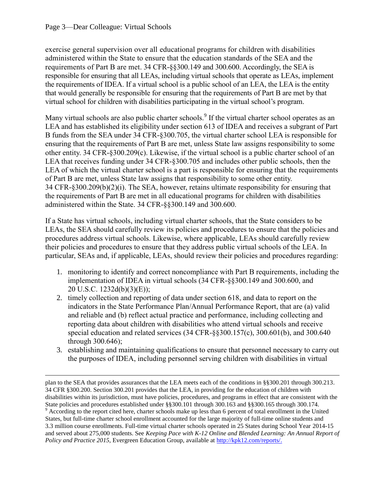$\overline{a}$ 

exercise general supervision over all educational programs for children with disabilities administered within the State to ensure that the education standards of the SEA and the requirements of Part B are met. 34 CFR-§§300.149 and 300.600. Accordingly, the SEA is responsible for ensuring that all LEAs, including virtual schools that operate as LEAs, implement the requirements of IDEA. If a virtual school is a public school of an LEA, the LEA is the entity that would generally be responsible for ensuring that the requirements of Part B are met by that virtual school for children with disabilities participating in the virtual school's program.

Many virtual schools are also public charter schools.<sup>9</sup> If the virtual charter school operates as an LEA and has established its eligibility under section 613 of IDEA and receives a subgrant of Part B funds from the SEA under 34 CFR-§300.705, the virtual charter school LEA is responsible for ensuring that the requirements of Part B are met, unless State law assigns responsibility to some other entity. 34 CFR-§300.209(c). Likewise, if the virtual school is a public charter school of an LEA that receives funding under 34 CFR-§300.705 and includes other public schools, then the LEA of which the virtual charter school is a part is responsible for ensuring that the requirements of Part B are met, unless State law assigns that responsibility to some other entity. 34 CFR-§300.209(b)(2)(i). The SEA, however, retains ultimate responsibility for ensuring that the requirements of Part B are met in all educational programs for children with disabilities administered within the State. 34 CFR-§§300.149 and 300.600.

If a State has virtual schools, including virtual charter schools, that the State considers to be LEAs, the SEA should carefully review its policies and procedures to ensure that the policies and procedures address virtual schools. Likewise, where applicable, LEAs should carefully review their policies and procedures to ensure that they address public virtual schools of the LEA. In particular, SEAs and, if applicable, LEAs, should review their policies and procedures regarding:

- 1. monitoring to identify and correct noncompliance with Part B requirements, including the implementation of IDEA in virtual schools (34 CFR-§§300.149 and 300.600, and 20 U.S.C. 1232d(b)(3)(E));
- 2. timely collection and reporting of data under section 618, and data to report on the indicators in the State Performance Plan/Annual Performance Report, that are (a) valid and reliable and (b) reflect actual practice and performance, including collecting and reporting data about children with disabilities who attend virtual schools and receive special education and related services (34 CFR-§§300.157(c), 300.601(b), and 300.640 through 300.646);
- 3. establishing and maintaining qualifications to ensure that personnel necessary to carry out the purposes of IDEA, including personnel serving children with disabilities in virtual

plan to the SEA that provides assurances that the LEA meets each of the conditions in §§300.201 through 300.213. 34 CFR §300.200. Section 300.201 provides that the LEA, in providing for the education of children with disabilities within its jurisdiction, must have policies, procedures, and programs in effect that are consistent with the State policies and procedures established under §§300.101 through 300.163 and §§300.165 through 300.174. <sup>9</sup> According to the report cited here, charter schools make up less than 6 percent of total enrollment in the United States, but full-time charter school enrollment accounted for the large majority of full-time online students and 3.3 million course enrollments. Full-time virtual charter schools operated in 25 States during School Year 2014-15 and served about 275,000 students. See *Keeping Pace with K-12 Online and Blended Learning: An Annual Report of Policy and Practice 2015,* Evergreen Education Group, available at [http://kpk12.com/reports/.](http://kpk12.com/reports/)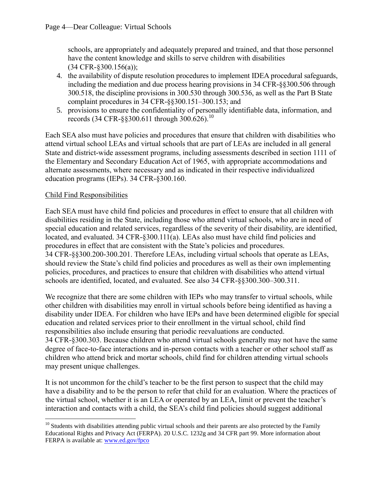schools, are appropriately and adequately prepared and trained, and that those personnel have the content knowledge and skills to serve children with disabilities (34 CFR-§300.156(a));

- 4. the availability of dispute resolution procedures to implement IDEA procedural safeguards, including the mediation and due process hearing provisions in 34 CFR-§§300.506 through 300.518, the discipline provisions in 300.530 through 300.536, as well as the Part B State complaint procedures in 34 CFR-§§300.151–300.153; and
- 5. provisions to ensure the confidentiality of personally identifiable data, information, and records (34 CFR- $\S$ §300.611 through 300.626).<sup>10</sup>

Each SEA also must have policies and procedures that ensure that children with disabilities who attend virtual school LEAs and virtual schools that are part of LEAs are included in all general State and district-wide assessment programs, including assessments described in section 1111 of the Elementary and Secondary Education Act of 1965, with appropriate accommodations and alternate assessments, where necessary and as indicated in their respective individualized education programs (IEPs). 34 CFR-§300.160.

## Child Find Responsibilities

Each SEA must have child find policies and procedures in effect to ensure that all children with disabilities residing in the State, including those who attend virtual schools, who are in need of special education and related services, regardless of the severity of their disability, are identified, located, and evaluated. 34 CFR-§300.111(a). LEAs also must have child find policies and procedures in effect that are consistent with the State's policies and procedures. 34 CFR-§§300.200-300.201. Therefore LEAs, including virtual schools that operate as LEAs, should review the State's child find policies and procedures as well as their own implementing policies, procedures, and practices to ensure that children with disabilities who attend virtual schools are identified, located, and evaluated. See also 34 CFR-§§300.300–300.311.

We recognize that there are some children with IEPs who may transfer to virtual schools, while other children with disabilities may enroll in virtual schools before being identified as having a disability under IDEA. For children who have IEPs and have been determined eligible for special education and related services prior to their enrollment in the virtual school, child find responsibilities also include ensuring that periodic reevaluations are conducted. 34 CFR-§300.303. Because children who attend virtual schools generally may not have the same degree of face-to-face interactions and in-person contacts with a teacher or other school staff as children who attend brick and mortar schools, child find for children attending virtual schools may present unique challenges.

It is not uncommon for the child's teacher to be the first person to suspect that the child may have a disability and to be the person to refer that child for an evaluation. Where the practices of the virtual school, whether it is an LEA or operated by an LEA, limit or prevent the teacher's interaction and contacts with a child, the SEA's child find policies should suggest additional

 $\overline{a}$  $10$  Students with disabilities attending public virtual schools and their parents are also protected by the Family Educational Rights and Privacy Act (FERPA). 20 U.S.C. 1232g and 34 CFR part 99. More information about FERPA is available at: [www.ed.gov/fpco](http://www.ed.gov/fpco)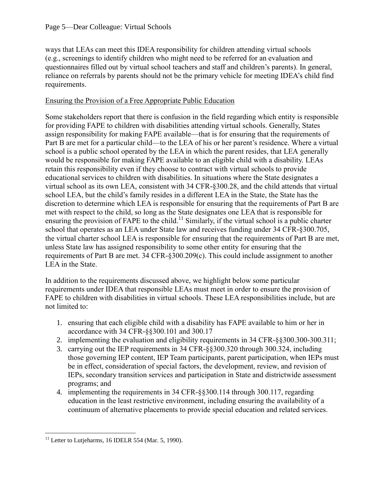ways that LEAs can meet this IDEA responsibility for children attending virtual schools (e.g., screenings to identify children who might need to be referred for an evaluation and questionnaires filled out by virtual school teachers and staff and children's parents). In general, reliance on referrals by parents should not be the primary vehicle for meeting IDEA's child find requirements.

# Ensuring the Provision of a Free Appropriate Public Education

Some stakeholders report that there is confusion in the field regarding which entity is responsible for providing FAPE to children with disabilities attending virtual schools. Generally, States assign responsibility for making FAPE available—that is for ensuring that the requirements of Part B are met for a particular child—to the LEA of his or her parent's residence. Where a virtual school is a public school operated by the LEA in which the parent resides, that LEA generally would be responsible for making FAPE available to an eligible child with a disability. LEAs retain this responsibility even if they choose to contract with virtual schools to provide educational services to children with disabilities. In situations where the State designates a virtual school as its own LEA, consistent with 34 CFR-§300.28, and the child attends that virtual school LEA, but the child's family resides in a different LEA in the State, the State has the discretion to determine which LEA is responsible for ensuring that the requirements of Part B are met with respect to the child, so long as the State designates one LEA that is responsible for ensuring the provision of FAPE to the child.<sup>11</sup> Similarly, if the virtual school is a public charter school that operates as an LEA under State law and receives funding under 34 CFR-§300.705, the virtual charter school LEA is responsible for ensuring that the requirements of Part B are met, unless State law has assigned responsibility to some other entity for ensuring that the requirements of Part B are met. 34 CFR-§300.209(c). This could include assignment to another LEA in the State.

In addition to the requirements discussed above, we highlight below some particular requirements under IDEA that responsible LEAs must meet in order to ensure the provision of FAPE to children with disabilities in virtual schools. These LEA responsibilities include, but are not limited to:

- 1. ensuring that each eligible child with a disability has FAPE available to him or her in accordance with 34 CFR-§§300.101 and 300.17
- 2. implementing the evaluation and eligibility requirements in 34 CFR-§§300.300-300.311;
- 3. carrying out the IEP requirements in 34 CFR-§§300.320 through 300.324, including those governing IEP content, IEP Team participants, parent participation, when IEPs must be in effect, consideration of special factors, the development, review, and revision of IEPs, secondary transition services and participation in State and districtwide assessment programs; and
- 4. implementing the requirements in 34 CFR-§§300.114 through 300.117, regarding education in the least restrictive environment, including ensuring the availability of a continuum of alternative placements to provide special education and related services.

 $\overline{a}$ <sup>11</sup> Letter to Lutjeharms, 16 IDELR 554 (Mar. 5, 1990).